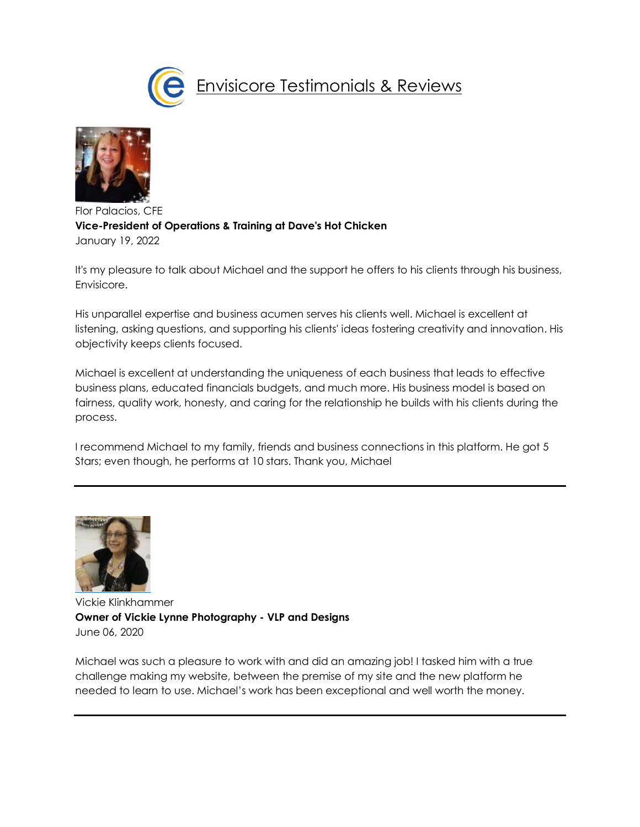



Flor Palacios, CFE **Vice-President of Operations & Training at Dave's Hot Chicken** January 19, 2022

It's my pleasure to talk about Michael and the support he offers to his clients through his business, Envisicore.

His unparallel expertise and business acumen serves his clients well. Michael is excellent at listening, asking questions, and supporting his clients' ideas fostering creativity and innovation. His objectivity keeps clients focused.

Michael is excellent at understanding the uniqueness of each business that leads to effective business plans, educated financials budgets, and much more. His business model is based on fairness, quality work, honesty, and caring for the relationship he builds with his clients during the process.

I recommend Michael to my family, friends and business connections in this platform. He got 5 Stars; even though, he performs at 10 stars. Thank you, Michael



Vickie Klinkhammer **Owner of Vickie Lynne Photography - VLP and Designs** June 06, 202[0](https://www.linkedin.com/in/michael-collischan/recommendation-add-edit/REQUEST_RECOMMENDATION?profileFormEntryPoint=PROFILE_SECTION&trackingId=bIWKibilT6ajwZH50aYvig%3D%3D&desktopBackground=PROFILE_DETAIL_SCREEN&recommendationId=654656636)

Michael was such a pleasure to work with and did an amazing job! I tasked him with a true challenge making my website, between the premise of my site and the new platform he needed to learn to use. Michael's work has been exceptional and well worth the money.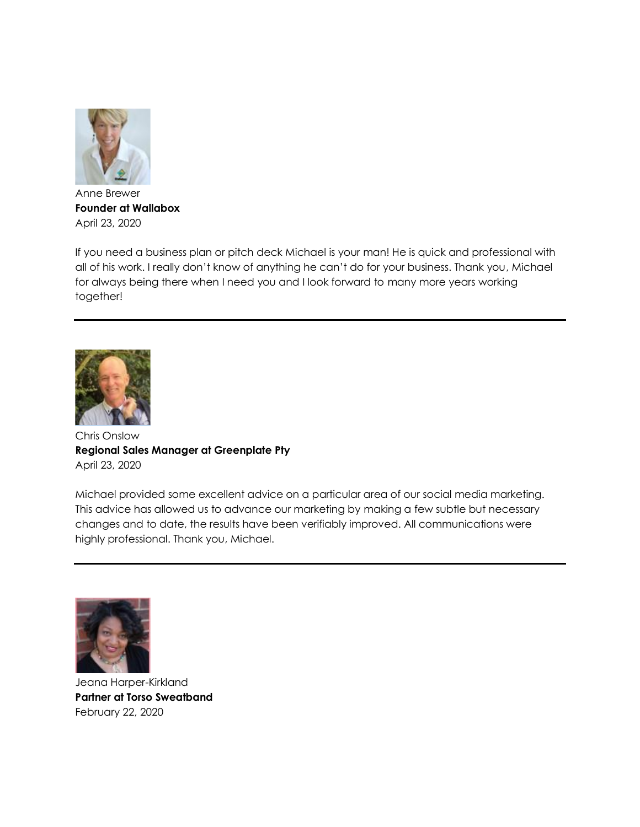

Anne Brewer **Founder at Wallabox** April 23, 2020

If you need a business plan or pitch deck Michael is your man! He is quick and professional with all of his work. I really don't know of anything he can't do for your business. Thank you, Michael for always being there when I need you and I look forward to many more years working together!



Chris Onslow **Regional Sales Manager at Greenplate Pty** April 23, 202[0](https://www.linkedin.com/in/michael-collischan/recommendation-add-edit/REQUEST_RECOMMENDATION?profileFormEntryPoint=PROFILE_SECTION&trackingId=eRdqIjljS%2FiEJBkcRNxehw%3D%3D&desktopBackground=PROFILE_DETAIL_SCREEN&recommendationId=649466706)

Michael provided some excellent advice on a particular area of our social media marketing. This advice has allowed us to advance our marketing by making a few subtle but necessary changes and to date, the results have been verifiably improved. All communications were highly professional. Thank you, Michael.



Jeana Harper-Kirkland **Partner at Torso Sweatband** February 22, 2020